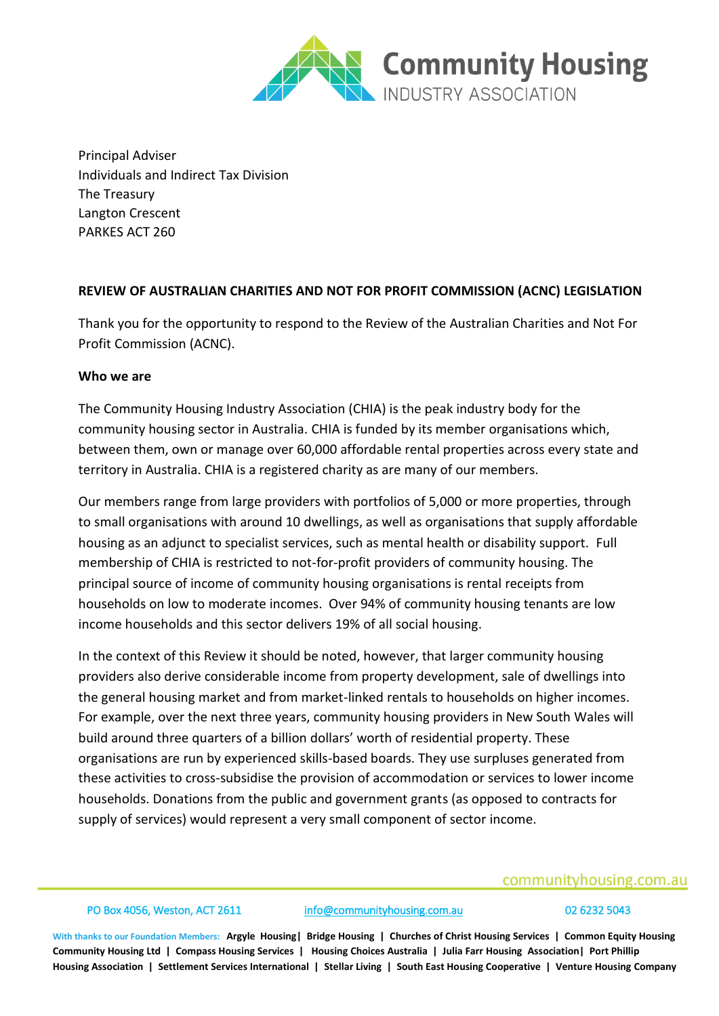

Principal Adviser Individuals and Indirect Tax Division The Treasury Langton Crescent PARKES ACT 260

# **REVIEW OF AUSTRALIAN CHARITIES AND NOT FOR PROFIT COMMISSION (ACNC) LEGISLATION**

Thank you for the opportunity to respond to the Review of the Australian Charities and Not For Profit Commission (ACNC).

## **Who we are**

The Community Housing Industry Association (CHIA) is the peak industry body for the community housing sector in Australia. CHIA is funded by its member organisations which, between them, own or manage over 60,000 affordable rental properties across every state and territory in Australia. CHIA is a registered charity as are many of our members.

Our members range from large providers with portfolios of 5,000 or more properties, through to small organisations with around 10 dwellings, as well as organisations that supply affordable housing as an adjunct to specialist services, such as mental health or disability support. Full membership of CHIA is restricted to not-for-profit providers of community housing. The principal source of income of community housing organisations is rental receipts from households on low to moderate incomes. Over 94% of community housing tenants are low income households and this sector delivers 19% of all social housing.

In the context of this Review it should be noted, however, that larger community housing providers also derive considerable income from property development, sale of dwellings into the general housing market and from market-linked rentals to households on higher incomes. For example, over the next three years, community housing providers in New South Wales will build around three quarters of a billion dollars' worth of residential property. These organisations are run by experienced skills-based boards. They use surpluses generated from these activities to cross-subsidise the provision of accommodation or services to lower income households. Donations from the public and government grants (as opposed to contracts for supply of services) would represent a very small component of sector income.

# communityhousing.com.au

### PO Box 4056, Weston, ACT 2611 [info@communityhousing.com.au](mailto:info@communityhousing.com.au) 02 6232 5043

**With thanks to our Foundation Members: Argyle Housing| Bridge Housing | Churches of Christ Housing Services | Common Equity Housing Community Housing Ltd | Compass Housing Services | Housing Choices Australia | Julia Farr Housing Association| Port Phillip Housing Association | Settlement Services International | Stellar Living | South East Housing Cooperative | Venture Housing Company**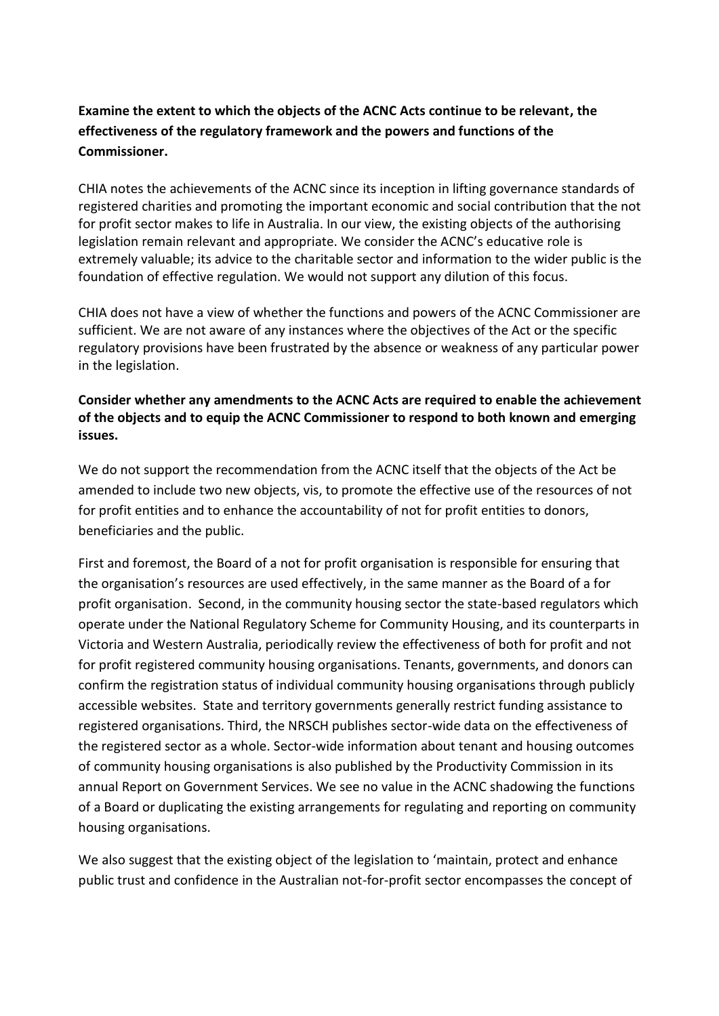# **Examine the extent to which the objects of the ACNC Acts continue to be relevant, the effectiveness of the regulatory framework and the powers and functions of the Commissioner.**

CHIA notes the achievements of the ACNC since its inception in lifting governance standards of registered charities and promoting the important economic and social contribution that the not for profit sector makes to life in Australia. In our view, the existing objects of the authorising legislation remain relevant and appropriate. We consider the ACNC's educative role is extremely valuable; its advice to the charitable sector and information to the wider public is the foundation of effective regulation. We would not support any dilution of this focus.

CHIA does not have a view of whether the functions and powers of the ACNC Commissioner are sufficient. We are not aware of any instances where the objectives of the Act or the specific regulatory provisions have been frustrated by the absence or weakness of any particular power in the legislation.

# **Consider whether any amendments to the ACNC Acts are required to enable the achievement of the objects and to equip the ACNC Commissioner to respond to both known and emerging issues.**

We do not support the recommendation from the ACNC itself that the objects of the Act be amended to include two new objects, vis, to promote the effective use of the resources of not for profit entities and to enhance the accountability of not for profit entities to donors, beneficiaries and the public.

First and foremost, the Board of a not for profit organisation is responsible for ensuring that the organisation's resources are used effectively, in the same manner as the Board of a for profit organisation. Second, in the community housing sector the state-based regulators which operate under the National Regulatory Scheme for Community Housing, and its counterparts in Victoria and Western Australia, periodically review the effectiveness of both for profit and not for profit registered community housing organisations. Tenants, governments, and donors can confirm the registration status of individual community housing organisations through publicly accessible websites. State and territory governments generally restrict funding assistance to registered organisations. Third, the NRSCH publishes sector-wide data on the effectiveness of the registered sector as a whole. Sector-wide information about tenant and housing outcomes of community housing organisations is also published by the Productivity Commission in its annual Report on Government Services. We see no value in the ACNC shadowing the functions of a Board or duplicating the existing arrangements for regulating and reporting on community housing organisations.

We also suggest that the existing object of the legislation to 'maintain, protect and enhance public trust and confidence in the Australian not-for-profit sector encompasses the concept of